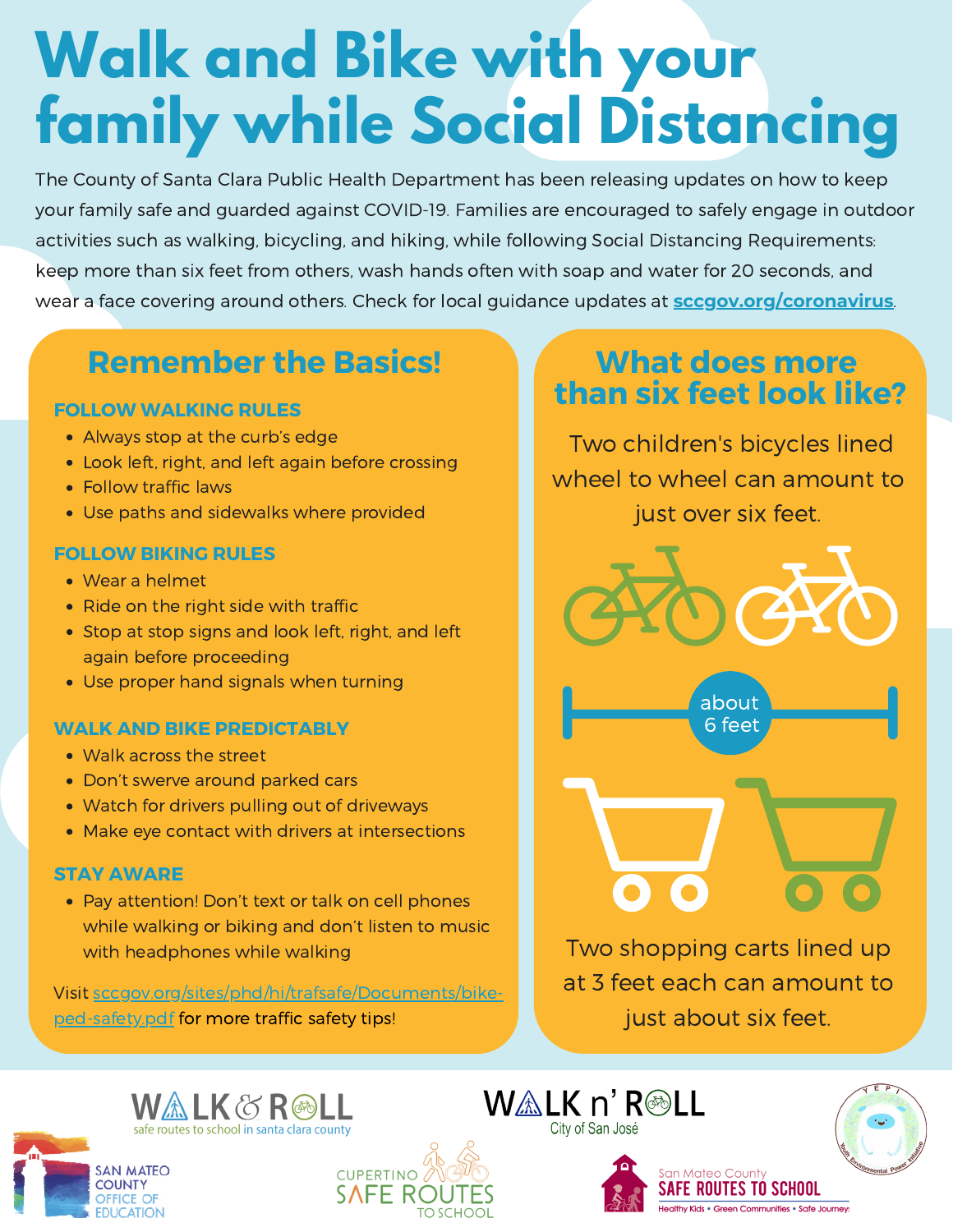# **Walk and Bike with your family while Social Distancing**

The County of Santa Clara Public Health Department has been releasing updates on how to keep your family safe and guarded against COVID-19. Families are encouraged to safely engage in outdoor activities such as walking, bicycling, and hiking, while following Social Distancing Requirements: keep more than six feet from others, wash hands often with soap and water for 20 seconds, and wear a face covering around others. Check for local guidance updates at **[sccgov.org/coronavirus](http://sccgov.org/coronavirus)**.

## **Remember the Basics!**

#### **FOLLOW WALKING RULES**

- Always stop at the curb's edge
- Look left, right, and left again before crossing
- Follow traffic laws
- Use paths and sidewalks where provided

#### **FOLLOW BIKING RULES**

- Wear a helmet
- Ride on the right side with traffic
- Stop at stop signs and look left, right, and left again before proceeding
- Use proper hand signals when turning

#### **WALK AND BIKE PREDICTABLY**

- Walk across the street
- Don't swerve around parked cars
- Watch for drivers pulling out of driveways
- Make eye contact with drivers at intersections

#### **STAY AWARE**

• Pay attention! Don't text or talk on cell phones while walking or biking and don't listen to music with headphones while walking

Visit [sccgov.org/sites/phd/hi/trafsafe/Documents/bike](https://www.sccgov.org/sites/phd/hi/trafsafe/Documents/bike-ped-safety.pdf)ped-safety.pdf for more traffic safety tips!

### **What does more than six feet look like?**

Two children's bicycles lined wheel to wheel can amount to just over six feet.



about 6 feet

Two shopping carts lined up at 3 feet each can amount to just about six feet.

ian Mateo Count

**FE ROUTES TO SCHOOL** 

Healthy Kids • Green Communities • Safe Journeys











WALK n' R<sup>oll</sup>

City of San José